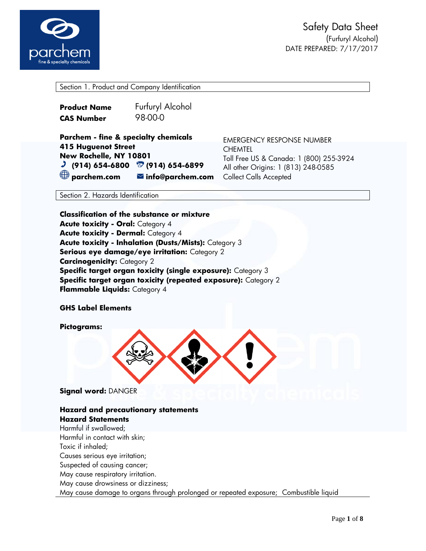

Section 1. Product and Company Identification

| <b>Product Name</b> | Furfuryl Alcohol |
|---------------------|------------------|
| <b>CAS Number</b>   | 98-00-0          |

**Parchem - fine & specialty chemicals 415 Huguenot Street New Rochelle, NY 10801 (914) 654-6800 (914) 654-6899 parchem.com info@parchem.com**

EMERGENCY RESPONSE NUMBER **CHEMTEL** Toll Free US & Canada: 1 (800) 255-3924 All other Origins: 1 (813) 248-0585 Collect Calls Accepted

Section 2. Hazards Identification

**Classification of the substance or mixture Acute toxicity - Oral:** Category 4 **Acute toxicity - Dermal:** Category 4 **Acute toxicity - Inhalation (Dusts/Mists):** Category 3 **Serious eye damage/eye irritation:** Category 2 **Carcinogenicity: Category 2 Specific target organ toxicity (single exposure):** Category 3 **Specific target organ toxicity (repeated exposure):** Category 2 **Flammable Liquids:** Category 4

### **GHS Label Elements**

**Pictograms:** 



**Signal word:** DANGER

## **Hazard and precautionary statements Hazard Statements**

Harmful if swallowed; Harmful in contact with skin; Toxic if inhaled; Causes serious eye irritation; Suspected of causing cancer; May cause respiratory irritation. May cause drowsiness or dizziness; May cause damage to organs through prolonged or repeated exposure; Combustible liquid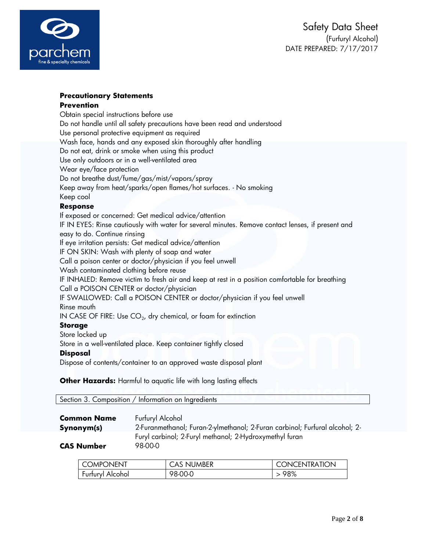

## **Precautionary Statements Prevention**

Obtain special instructions before use Do not handle until all safety precautions have been read and understood Use personal protective equipment as required Wash face, hands and any exposed skin thoroughly after handling Do not eat, drink or smoke when using this product Use only outdoors or in a well-ventilated area Wear eye/face protection Do not breathe dust/fume/gas/mist/vapors/spray Keep away from heat/sparks/open flames/hot surfaces. - No smoking Keep cool **Response** If exposed or concerned: Get medical advice/attention IF IN EYES: Rinse cautiously with water for several minutes. Remove contact lenses, if present and easy to do. Continue rinsing If eye irritation persists: Get medical advice/attention IF ON SKIN: Wash with plenty of soap and water Call a poison center or doctor/physician if you feel unwell Wash contaminated clothing before reuse IF INHALED: Remove victim to fresh air and keep at rest in a position comfortable for breathing Call a POISON CENTER or doctor/physician IF SWALLOWED: Call a POISON CENTER or doctor/physician if you feel unwell Rinse mouth IN CASE OF FIRE: Use CO $_2$ , dry chemical, or foam for extinction **Storage** Store locked up Store in a well-ventilated place. Keep container tightly closed **Disposal** Dispose of contents/container to an approved waste disposal plant

**Other Hazards:** Harmful to aquatic life with long lasting effects

| Section 3. Composition / Information on Ingredients |  |
|-----------------------------------------------------|--|
|                                                     |  |

| <b>Common Name</b> |  |
|--------------------|--|
| Synonym(s)         |  |

**Furfuryl Alcohol Synonym(s)** 2-Furanmethanol; Furan-2-ylmethanol; 2-Furan carbinol; Furfural alcohol; 2- Furyl carbinol; 2-Furyl methanol; 2-Hydroxymethyl furan

**CAS Number** 98-00-0

| I COMPONENT      | <b>CAS NUMBER</b> | <b>CONCENTRATION</b> |
|------------------|-------------------|----------------------|
| Furfuryl Alcohol | 98-00-0           | >98%                 |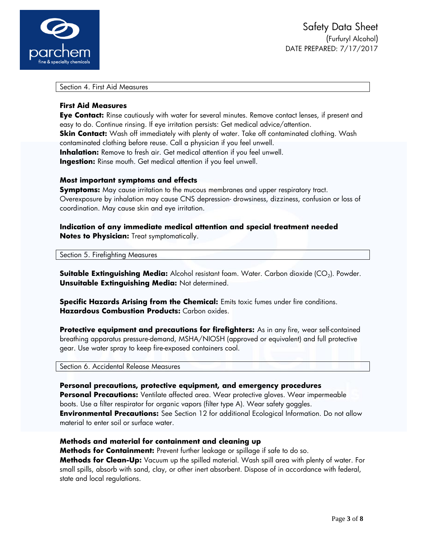

Section 4. First Aid Measures

#### **First Aid Measures**

**Eye Contact:** Rinse cautiously with water for several minutes. Remove contact lenses, if present and easy to do. Continue rinsing. If eye irritation persists: Get medical advice/attention. **Skin Contact:** Wash off immediately with plenty of water. Take off contaminated clothing. Wash contaminated clothing before reuse. Call a physician if you feel unwell. **Inhalation:** Remove to fresh air. Get medical attention if you feel unwell. **Ingestion:** Rinse mouth. Get medical attention if you feel unwell.

### **Most important symptoms and effects**

**Symptoms:** May cause irritation to the mucous membranes and upper respiratory tract. Overexposure by inhalation may cause CNS depression- drowsiness, dizziness, confusion or loss of coordination. May cause skin and eye irritation.

**Indication of any immediate medical attention and special treatment needed Notes to Physician:** Treat symptomatically.

Section 5. Firefighting Measures

**Suitable Extinguishing Media:** Alcohol resistant foam. Water. Carbon dioxide (CO<sub>2</sub>). Powder. **Unsuitable Extinguishing Media:** Not determined.

**Specific Hazards Arising from the Chemical:** Emits toxic fumes under fire conditions. **Hazardous Combustion Products:** Carbon oxides.

**Protective equipment and precautions for firefighters:** As in any fire, wear self-contained breathing apparatus pressure-demand, MSHA/NIOSH (approved or equivalent) and full protective gear. Use water spray to keep fire-exposed containers cool.

Section 6. Accidental Release Measures

#### **Personal precautions, protective equipment, and emergency procedures**

**Personal Precautions:** Ventilate affected area. Wear protective gloves. Wear impermeable boots. Use a filter respirator for organic vapors (filter type A). Wear safety goggles. **Environmental Precautions:** See Section 12 for additional Ecological Information. Do not allow material to enter soil or surface water.

### **Methods and material for containment and cleaning up**

**Methods for Containment:** Prevent further leakage or spillage if safe to do so. **Methods for Clean-Up:** Vacuum up the spilled material. Wash spill area with plenty of water. For small spills, absorb with sand, clay, or other inert absorbent. Dispose of in accordance with federal, state and local regulations.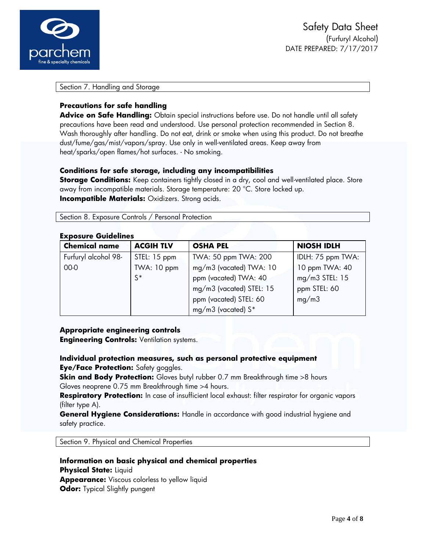

Section 7. Handling and Storage

## **Precautions for safe handling**

**Advice on Safe Handling:** Obtain special instructions before use. Do not handle until all safety precautions have been read and understood. Use personal protection recommended in Section 8. Wash thoroughly after handling. Do not eat, drink or smoke when using this product. Do not breathe dust/fume/gas/mist/vapors/spray. Use only in well-ventilated areas. Keep away from heat/sparks/open flames/hot surfaces. - No smoking.

## **Conditions for safe storage, including any incompatibilities**

**Storage Conditions:** Keep containers tightly closed in a dry, cool and well-ventilated place. Store away from incompatible materials. Storage temperature: 20 °C. Store locked up. **Incompatible Materials:** Oxidizers. Strong acids.

Section 8. Exposure Controls / Personal Protection

#### **Exposure Guidelines**

| <b>Chemical name</b> | <b>ACGIH TLV</b> | <b>OSHA PEL</b>          | <b>NIOSH IDLH</b> |
|----------------------|------------------|--------------------------|-------------------|
| Furfuryl alcohol 98- | STEL: 15 ppm     | TWA: 50 ppm TWA: 200     | IDLH: 75 ppm TWA: |
| 00-0                 | TWA: 10 ppm      | mg/m3 (vacated) TWA: 10  | 10 ppm TWA: 40    |
|                      | $S^*$            | ppm (vacated) TWA: 40    | mg/m3 STEL: 15    |
|                      |                  | mg/m3 (vacated) STEL: 15 | ppm STEL: 60      |
|                      |                  | ppm (vacated) STEL: 60   | mg/m3             |
|                      |                  | mg/m3 (vacated) $S^*$    |                   |

### **Appropriate engineering controls**

**Engineering Controls:** Ventilation systems.

# **Individual protection measures, such as personal protective equipment Eye/Face Protection:** Safety goggles.

**Skin and Body Protection:** Gloves butyl rubber 0.7 mm Breakthrough time >8 hours Gloves neoprene 0.75 mm Breakthrough time >4 hours.

**Respiratory Protection:** In case of insufficient local exhaust: filter respirator for organic vapors (filter type A).

**General Hygiene Considerations:** Handle in accordance with good industrial hygiene and safety practice.

Section 9. Physical and Chemical Properties

# **Information on basic physical and chemical properties Physical State:** Liquid **Appearance:** Viscous colorless to yellow liquid **Odor:** Typical Slightly pungent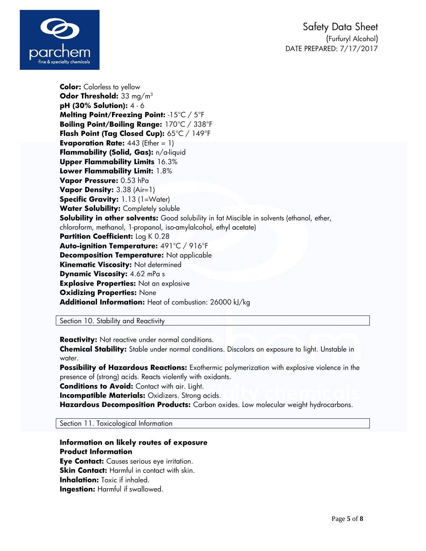

**Color:** Colorless to yellow **Odor Threshold:** 33 mg/m<sup>3</sup> **pH (30% Solution):** 4 - 6 **Melting Point/Freezing Point:** -15°C / 5°F **Boiling Point/Boiling Range:** 170°C / 338°F **Flash Point (Tag Closed Cup):** 65°C / 149°F **Evaporation Rate:** 443 (Ether = 1) **Flammability (Solid, Gas):** n/a-liquid **Upper Flammability Limits** 16.3% **Lower Flammability Limit:** 1.8% **Vapor Pressure:** 0.53 hPa **Vapor Density:** 3.38 (Air=1) **Specific Gravity:** 1.13 (1=Water) **Water Solubility:** Completely soluble **Solubility in other solvents:** Good solubility in fat Miscible in solvents (ethanol, ether, chloroform, methanol, 1-propanol, iso-amylalcohol, ethyl acetate) **Partition Coefficient:** Log K 0.28 **Auto-ignition Temperature:** 491°C / 916°F **Decomposition Temperature:** Not applicable **Kinematic Viscosity:** Not determined **Dynamic Viscosity:** 4.62 mPa s **Explosive Properties:** Not an explosive **Oxidizing Properties:** None **Additional Information:** Heat of combustion: 26000 kJ/kg

Section 10. Stability and Reactivity

**Reactivity:** Not reactive under normal conditions.

**Chemical Stability:** Stable under normal conditions. Discolors on exposure to light. Unstable in water.

**Possibility of Hazardous Reactions:** Exothermic polymerization with explosive violence in the presence of (strong) acids. Reacts violently with oxidants.

**Conditions to Avoid:** Contact with air. Light.

**Incompatible Materials: Oxidizers. Strong acids.** 

**Hazardous Decomposition Products:** Carbon oxides. Low molecular weight hydrocarbons.

Section 11. Toxicological Information

# **Information on likely routes of exposure Product Information**

**Eye Contact:** Causes serious eye irritation. **Skin Contact:** Harmful in contact with skin. **Inhalation:** Toxic if inhaled. **Ingestion:** Harmful if swallowed.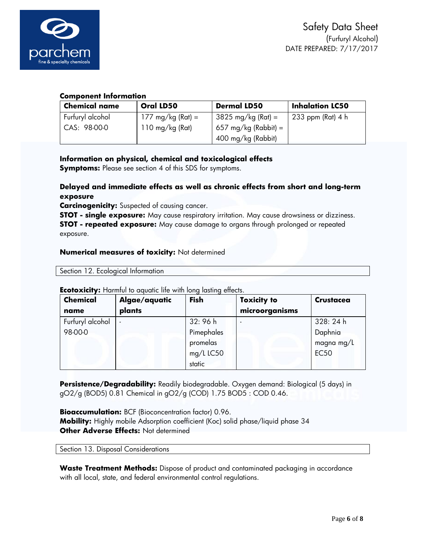

# **Component Information**

| <b>Chemical name</b> | Oral LD50                   | <b>Dermal LD50</b>   | <b>Inhalation LC50</b> |
|----------------------|-----------------------------|----------------------|------------------------|
| Furfuryl alcohol     | $177 \text{ mg/kg}$ (Rat) = | 3825 mg/kg (Rat) =   | 233 ppm (Rat) 4 h      |
| CAS: 98-00-0         | 110 mg/kg (Rat)             | 657 mg/kg (Rabbit) = |                        |
|                      |                             | 400 mg/kg (Rabbit)   |                        |

# **Information on physical, chemical and toxicological effects**

**Symptoms:** Please see section 4 of this SDS for symptoms.

# **Delayed and immediate effects as well as chronic effects from short and long-term exposure**

**Carcinogenicity:** Suspected of causing cancer.

**STOT - single exposure:** May cause respiratory irritation. May cause drowsiness or dizziness. **STOT - repeated exposure:** May cause damage to organs through prolonged or repeated exposure.

## **Numerical measures of toxicity:** Not determined

Section 12. Ecological Information

| <b>Chemical</b>  | Algae/aquatic | <b>Fish</b> | <b>Toxicity to</b> | <b>Crustacea</b> |
|------------------|---------------|-------------|--------------------|------------------|
| name             | plants        |             | microorganisms     |                  |
| Furfuryl alcohol |               | 32:96 h     |                    | 328:24h          |
| 98-00-0          |               | Pimephales  |                    | Daphnia          |
|                  |               | promelas    |                    | magna mg/L       |
|                  |               | mg/L LC50   |                    | <b>EC50</b>      |
|                  |               | static      |                    |                  |

### **Ecotoxicity:** Harmful to aquatic life with long lasting effects.

**Persistence/Degradability:** Readily biodegradable. Oxygen demand: Biological (5 days) in gO2/g (BOD5) 0.81 Chemical in gO2/g (COD) 1.75 BOD5 : COD 0.46.

**Bioaccumulation:** BCF (Bioconcentration factor) 0.96. **Mobility:** Highly mobile Adsorption coefficient (Koc) solid phase/liquid phase 34 **Other Adverse Effects:** Not determined

Section 13. Disposal Considerations

**Waste Treatment Methods:** Dispose of product and contaminated packaging in accordance with all local, state, and federal environmental control regulations.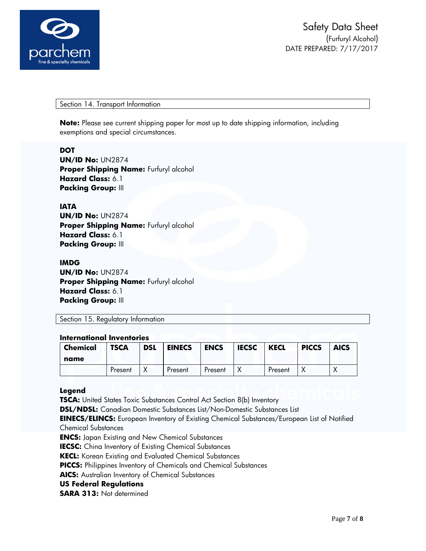

Section 14. Transport Information

**Note:** Please see current shipping paper for most up to date shipping information, including exemptions and special circumstances.

### **DOT**

**UN/ID No:** UN2874 **Proper Shipping Name:** Furfuryl alcohol **Hazard Class:** 6.1 **Packing Group:** III

## **IATA**

**UN/ID No:** UN2874 **Proper Shipping Name:** Furfuryl alcohol **Hazard Class:** 6.1 **Packing Group:** III

#### **IMDG**

**UN/ID No:** UN2874 **Proper Shipping Name: Furfuryl alcohol Hazard Class:** 6.1 **Packing Group:** III

Section 15. Regulatory Information

#### **International Inventories**

| <b>Chemical</b><br>name | <b>TSCA</b> | <b>DSL</b> | <b>EINECS</b> | <b>ENCS</b> | <b>IECSC</b> | <b>KECL</b> | <b>PICCS</b> | <b>AICS</b> |
|-------------------------|-------------|------------|---------------|-------------|--------------|-------------|--------------|-------------|
|                         | Present     |            | Present       | Present     |              | Present     |              |             |

### **Legend**

**TSCA:** United States Toxic Substances Control Act Section 8(b) Inventory **DSL/NDSL:** Canadian Domestic Substances List/Non-Domestic Substances List **EINECS/ELINCS:** European Inventory of Existing Chemical Substances/European List of Notified Chemical Substances **ENCS:** Japan Existing and New Chemical Substances **IECSC:** China Inventory of Existing Chemical Substances **KECL:** Korean Existing and Evaluated Chemical Substances **PICCS:** Philippines Inventory of Chemicals and Chemical Substances **AICS:** Australian Inventory of Chemical Substances **US Federal Regulations**

**SARA 313:** Not determined